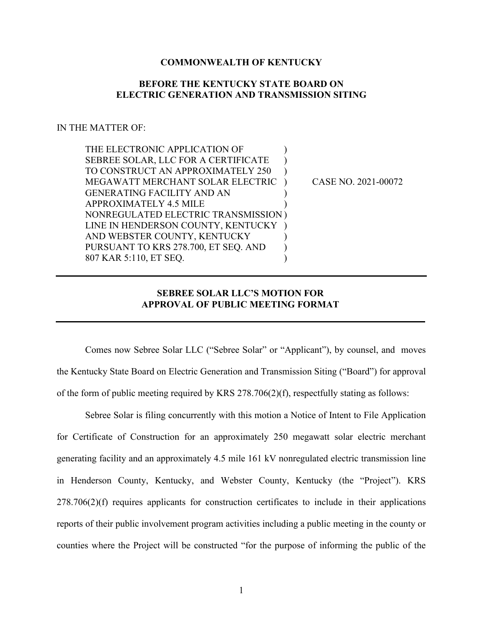## **COMMONWEALTH OF KENTUCKY**

## **BEFORE THE KENTUCKY STATE BOARD ON ELECTRIC GENERATION AND TRANSMISSION SITING**

## IN THE MATTER OF:

| THE ELECTRONIC APPLICATION OF        |                     |
|--------------------------------------|---------------------|
| SEBREE SOLAR, LLC FOR A CERTIFICATE  |                     |
| TO CONSTRUCT AN APPROXIMATELY 250    |                     |
| MEGAWATT MERCHANT SOLAR ELECTRIC     | CASE NO. 2021-00072 |
| <b>GENERATING FACILITY AND AN</b>    |                     |
| APPROXIMATELY 4.5 MILE               |                     |
| NONREGULATED ELECTRIC TRANSMISSION)  |                     |
| LINE IN HENDERSON COUNTY, KENTUCKY   |                     |
| AND WEBSTER COUNTY, KENTUCKY         |                     |
| PURSUANT TO KRS 278.700, ET SEQ. AND |                     |
| 807 KAR 5:110, ET SEQ.               |                     |

## **SEBREE SOLAR LLC'S MOTION FOR APPROVAL OF PUBLIC MEETING FORMAT**

Comes now Sebree Solar LLC ("Sebree Solar" or "Applicant"), by counsel, and moves the Kentucky State Board on Electric Generation and Transmission Siting ("Board") for approval of the form of public meeting required by KRS 278.706(2)(f), respectfully stating as follows:

Sebree Solar is filing concurrently with this motion a Notice of Intent to File Application for Certificate of Construction for an approximately 250 megawatt solar electric merchant generating facility and an approximately 4.5 mile 161 kV nonregulated electric transmission line in Henderson County, Kentucky, and Webster County, Kentucky (the "Project"). KRS 278.706(2)(f) requires applicants for construction certificates to include in their applications reports of their public involvement program activities including a public meeting in the county or counties where the Project will be constructed "for the purpose of informing the public of the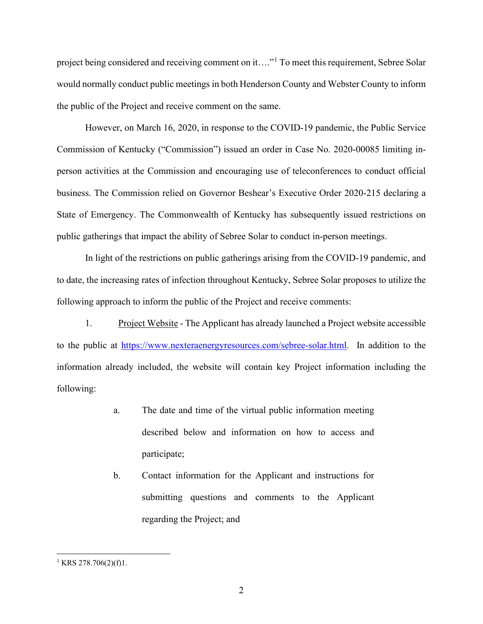project being considered and receiving comment on it...."<sup>[1](#page-1-0)</sup> To meet this requirement, Sebree Solar would normally conduct public meetings in both Henderson County and Webster County to inform the public of the Project and receive comment on the same.

However, on March 16, 2020, in response to the COVID-19 pandemic, the Public Service Commission of Kentucky ("Commission") issued an order in Case No. 2020-00085 limiting inperson activities at the Commission and encouraging use of teleconferences to conduct official business. The Commission relied on Governor Beshear's Executive Order 2020-215 declaring a State of Emergency. The Commonwealth of Kentucky has subsequently issued restrictions on public gatherings that impact the ability of Sebree Solar to conduct in-person meetings.

In light of the restrictions on public gatherings arising from the COVID-19 pandemic, and to date, the increasing rates of infection throughout Kentucky, Sebree Solar proposes to utilize the following approach to inform the public of the Project and receive comments:

1. Project Website - The Applicant has already launched a Project website accessible to the public at [https://www.nexteraenergyresources.com/sebree-solar.html.](https://www.nexteraenergyresources.com/sebree-solar.html) In addition to the information already included, the website will contain key Project information including the following:

- a. The date and time of the virtual public information meeting described below and information on how to access and participate;
- b. Contact information for the Applicant and instructions for submitting questions and comments to the Applicant regarding the Project; and

<span id="page-1-0"></span><sup>&</sup>lt;sup>1</sup> KRS 278.706(2)(f)1.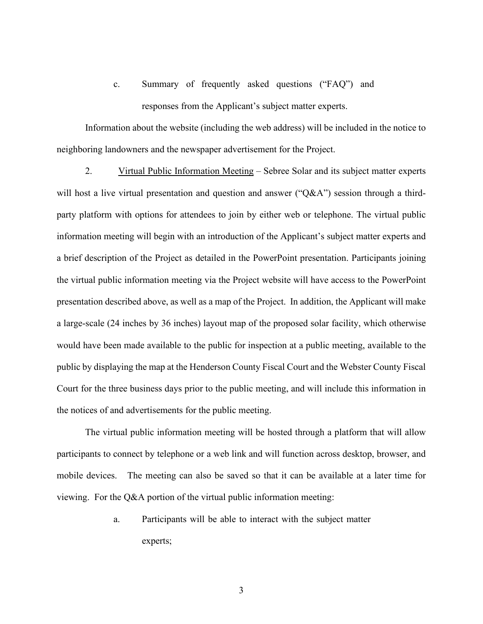c. Summary of frequently asked questions ("FAQ") and responses from the Applicant's subject matter experts.

Information about the website (including the web address) will be included in the notice to neighboring landowners and the newspaper advertisement for the Project.

2. Virtual Public Information Meeting – Sebree Solar and its subject matter experts will host a live virtual presentation and question and answer ("Q&A") session through a thirdparty platform with options for attendees to join by either web or telephone. The virtual public information meeting will begin with an introduction of the Applicant's subject matter experts and a brief description of the Project as detailed in the PowerPoint presentation. Participants joining the virtual public information meeting via the Project website will have access to the PowerPoint presentation described above, as well as a map of the Project. In addition, the Applicant will make a large-scale (24 inches by 36 inches) layout map of the proposed solar facility, which otherwise would have been made available to the public for inspection at a public meeting, available to the public by displaying the map at the Henderson County Fiscal Court and the Webster County Fiscal Court for the three business days prior to the public meeting, and will include this information in the notices of and advertisements for the public meeting.

The virtual public information meeting will be hosted through a platform that will allow participants to connect by telephone or a web link and will function across desktop, browser, and mobile devices. The meeting can also be saved so that it can be available at a later time for viewing. For the Q&A portion of the virtual public information meeting:

> a. Participants will be able to interact with the subject matter experts;

> > 3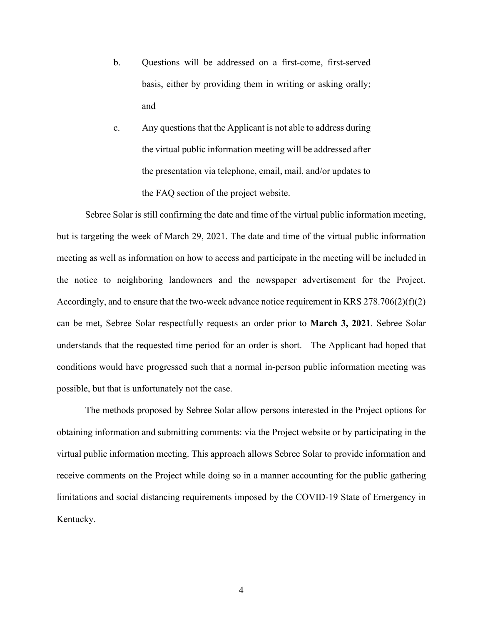- b. Questions will be addressed on a first-come, first-served basis, either by providing them in writing or asking orally; and
- c. Any questions that the Applicant is not able to address during the virtual public information meeting will be addressed after the presentation via telephone, email, mail, and/or updates to the FAQ section of the project website.

Sebree Solar is still confirming the date and time of the virtual public information meeting, but is targeting the week of March 29, 2021. The date and time of the virtual public information meeting as well as information on how to access and participate in the meeting will be included in the notice to neighboring landowners and the newspaper advertisement for the Project. Accordingly, and to ensure that the two-week advance notice requirement in KRS  $278.706(2)(f)(2)$ can be met, Sebree Solar respectfully requests an order prior to **March 3, 2021**. Sebree Solar understands that the requested time period for an order is short. The Applicant had hoped that conditions would have progressed such that a normal in-person public information meeting was possible, but that is unfortunately not the case.

The methods proposed by Sebree Solar allow persons interested in the Project options for obtaining information and submitting comments: via the Project website or by participating in the virtual public information meeting. This approach allows Sebree Solar to provide information and receive comments on the Project while doing so in a manner accounting for the public gathering limitations and social distancing requirements imposed by the COVID-19 State of Emergency in Kentucky.